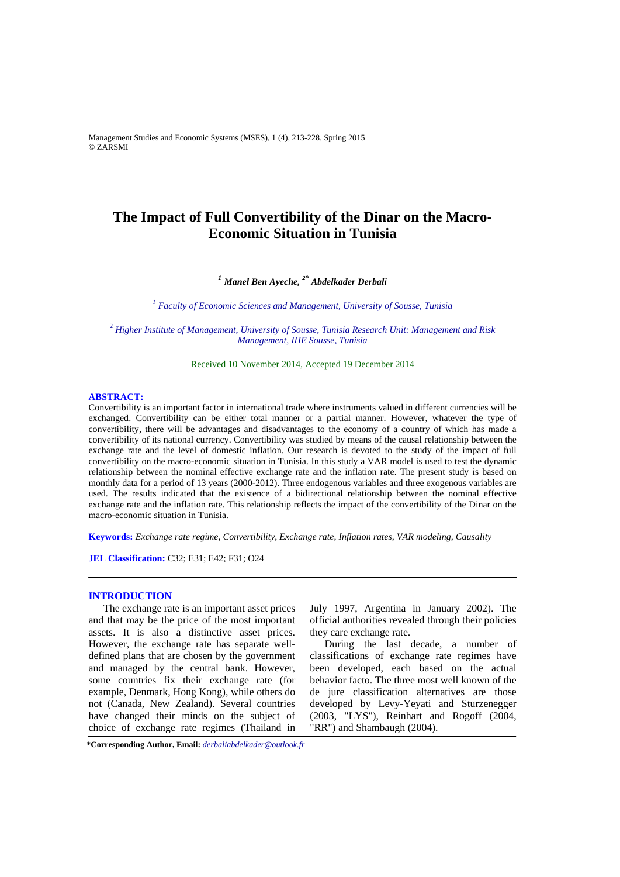Management Studies and Economic Systems (MSES), 1 (4), 213-228, Spring 2015 © ZARSMI

# **The Impact of Full Convertibility of the Dinar on the Macro-Economic Situation in Tunisia**

# *<sup>1</sup> Manel Ben Ayeche, 2\* Abdelkader Derbali*

<sup>1</sup> Faculty of Economic Sciences and Management, University of Sousse, Tunisia

<sup>2</sup> *Higher Institute of Management, University of Sousse, Tunisia Research Unit: Management and Risk Management, IHE Sousse, Tunisia* 

Received 10 November 2014, Accepted 19 December 2014

#### **ABSTRACT:**

Convertibility is an important factor in international trade where instruments valued in different currencies will be exchanged. Convertibility can be either total manner or a partial manner. However, whatever the type of convertibility, there will be advantages and disadvantages to the economy of a country of which has made a convertibility of its national currency. Convertibility was studied by means of the causal relationship between the exchange rate and the level of domestic inflation. Our research is devoted to the study of the impact of full convertibility on the macro-economic situation in Tunisia. In this study a VAR model is used to test the dynamic relationship between the nominal effective exchange rate and the inflation rate. The present study is based on monthly data for a period of 13 years (2000-2012). Three endogenous variables and three exogenous variables are used. The results indicated that the existence of a bidirectional relationship between the nominal effective exchange rate and the inflation rate. This relationship reflects the impact of the convertibility of the Dinar on the macro-economic situation in Tunisia.

**Keywords:** *Exchange rate regime, Convertibility, Exchange rate, Inflation rates, VAR modeling, Causality* 

**JEL Classification:** C32; E31; E42; F31; O24

### **INTRODUCTION**

The exchange rate is an important asset prices and that may be the price of the most important assets. It is also a distinctive asset prices. However, the exchange rate has separate welldefined plans that are chosen by the government and managed by the central bank. However, some countries fix their exchange rate (for example, Denmark, Hong Kong), while others do not (Canada, New Zealand). Several countries have changed their minds on the subject of choice of exchange rate regimes (Thailand in

July 1997, Argentina in January 2002). The official authorities revealed through their policies they care exchange rate.

During the last decade, a number of classifications of exchange rate regimes have been developed, each based on the actual behavior facto. The three most well known of the de jure classification alternatives are those developed by Levy-Yeyati and Sturzenegger (2003, "LYS"), Reinhart and Rogoff (2004, "RR") and Shambaugh (2004).

**\*Corresponding Author, Email:** *derbaliabdelkader@outlook.fr*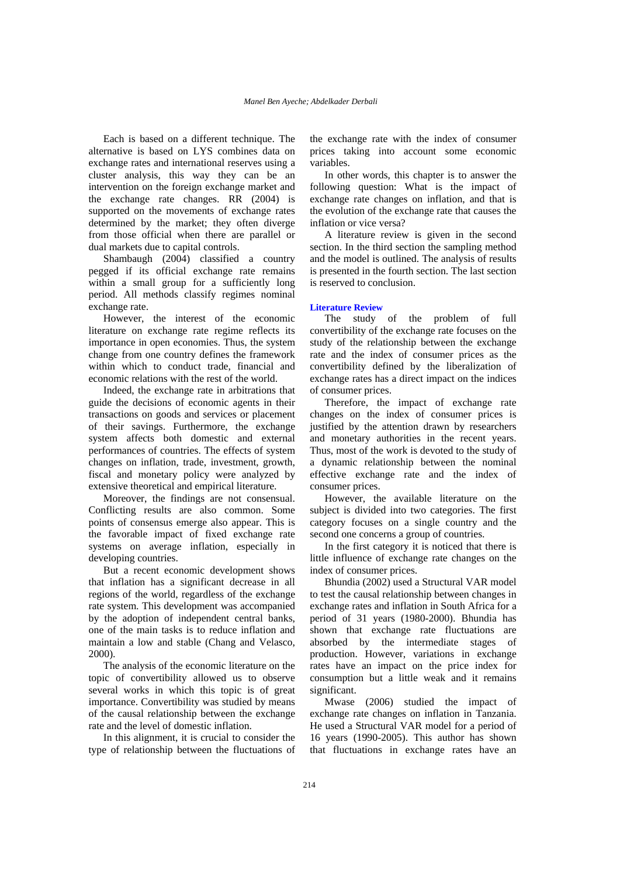Each is based on a different technique. The alternative is based on LYS combines data on exchange rates and international reserves using a cluster analysis, this way they can be an intervention on the foreign exchange market and the exchange rate changes. RR (2004) is supported on the movements of exchange rates determined by the market; they often diverge from those official when there are parallel or dual markets due to capital controls.

Shambaugh (2004) classified a country pegged if its official exchange rate remains within a small group for a sufficiently long period. All methods classify regimes nominal exchange rate.

However, the interest of the economic literature on exchange rate regime reflects its importance in open economies. Thus, the system change from one country defines the framework within which to conduct trade, financial and economic relations with the rest of the world.

Indeed, the exchange rate in arbitrations that guide the decisions of economic agents in their transactions on goods and services or placement of their savings. Furthermore, the exchange system affects both domestic and external performances of countries. The effects of system changes on inflation, trade, investment, growth, fiscal and monetary policy were analyzed by extensive theoretical and empirical literature.

Moreover, the findings are not consensual. Conflicting results are also common. Some points of consensus emerge also appear. This is the favorable impact of fixed exchange rate systems on average inflation, especially in developing countries.

But a recent economic development shows that inflation has a significant decrease in all regions of the world, regardless of the exchange rate system. This development was accompanied by the adoption of independent central banks, one of the main tasks is to reduce inflation and maintain a low and stable (Chang and Velasco, 2000).

The analysis of the economic literature on the topic of convertibility allowed us to observe several works in which this topic is of great importance. Convertibility was studied by means of the causal relationship between the exchange rate and the level of domestic inflation.

In this alignment, it is crucial to consider the type of relationship between the fluctuations of the exchange rate with the index of consumer prices taking into account some economic variables.

In other words, this chapter is to answer the following question: What is the impact of exchange rate changes on inflation, and that is the evolution of the exchange rate that causes the inflation or vice versa?

A literature review is given in the second section. In the third section the sampling method and the model is outlined. The analysis of results is presented in the fourth section. The last section is reserved to conclusion.

#### **Literature Review**

The study of the problem of full convertibility of the exchange rate focuses on the study of the relationship between the exchange rate and the index of consumer prices as the convertibility defined by the liberalization of exchange rates has a direct impact on the indices of consumer prices.

Therefore, the impact of exchange rate changes on the index of consumer prices is justified by the attention drawn by researchers and monetary authorities in the recent years. Thus, most of the work is devoted to the study of a dynamic relationship between the nominal effective exchange rate and the index of consumer prices.

However, the available literature on the subject is divided into two categories. The first category focuses on a single country and the second one concerns a group of countries.

In the first category it is noticed that there is little influence of exchange rate changes on the index of consumer prices.

Bhundia (2002) used a Structural VAR model to test the causal relationship between changes in exchange rates and inflation in South Africa for a period of 31 years (1980-2000). Bhundia has shown that exchange rate fluctuations are absorbed by the intermediate stages of production. However, variations in exchange rates have an impact on the price index for consumption but a little weak and it remains significant.

Mwase (2006) studied the impact of exchange rate changes on inflation in Tanzania. He used a Structural VAR model for a period of 16 years (1990-2005). This author has shown that fluctuations in exchange rates have an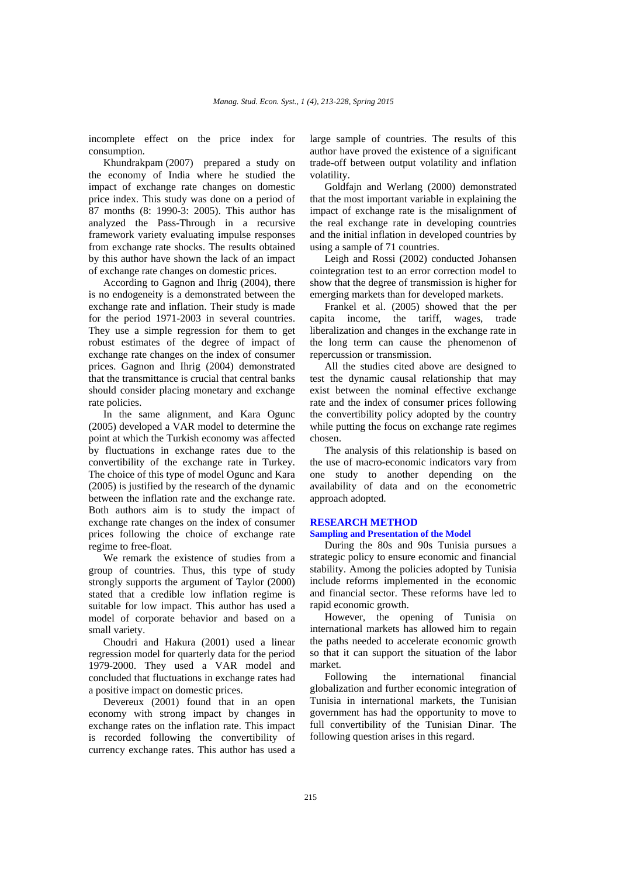incomplete effect on the price index for consumption.

Khundrakpam (2007) prepared a study on the economy of India where he studied the impact of exchange rate changes on domestic price index. This study was done on a period of 87 months (8: 1990-3: 2005). This author has analyzed the Pass-Through in a recursive framework variety evaluating impulse responses from exchange rate shocks. The results obtained by this author have shown the lack of an impact of exchange rate changes on domestic prices.

According to Gagnon and Ihrig (2004), there is no endogeneity is a demonstrated between the exchange rate and inflation. Their study is made for the period 1971-2003 in several countries. They use a simple regression for them to get robust estimates of the degree of impact of exchange rate changes on the index of consumer prices. Gagnon and Ihrig (2004) demonstrated that the transmittance is crucial that central banks should consider placing monetary and exchange rate policies.

In the same alignment, and Kara Ogunc (2005) developed a VAR model to determine the point at which the Turkish economy was affected by fluctuations in exchange rates due to the convertibility of the exchange rate in Turkey. The choice of this type of model Ogunc and Kara (2005) is justified by the research of the dynamic between the inflation rate and the exchange rate. Both authors aim is to study the impact of exchange rate changes on the index of consumer prices following the choice of exchange rate regime to free-float.

We remark the existence of studies from a group of countries. Thus, this type of study strongly supports the argument of Taylor (2000) stated that a credible low inflation regime is suitable for low impact. This author has used a model of corporate behavior and based on a small variety.

Choudri and Hakura (2001) used a linear regression model for quarterly data for the period 1979-2000. They used a VAR model and concluded that fluctuations in exchange rates had a positive impact on domestic prices.

Devereux (2001) found that in an open economy with strong impact by changes in exchange rates on the inflation rate. This impact is recorded following the convertibility of currency exchange rates. This author has used a

large sample of countries. The results of this author have proved the existence of a significant trade-off between output volatility and inflation volatility.

Goldfajn and Werlang (2000) demonstrated that the most important variable in explaining the impact of exchange rate is the misalignment of the real exchange rate in developing countries and the initial inflation in developed countries by using a sample of 71 countries.

Leigh and Rossi (2002) conducted Johansen cointegration test to an error correction model to show that the degree of transmission is higher for emerging markets than for developed markets.

Frankel et al. (2005) showed that the per capita income, the tariff, wages, trade liberalization and changes in the exchange rate in the long term can cause the phenomenon of repercussion or transmission.

All the studies cited above are designed to test the dynamic causal relationship that may exist between the nominal effective exchange rate and the index of consumer prices following the convertibility policy adopted by the country while putting the focus on exchange rate regimes chosen.

The analysis of this relationship is based on the use of macro-economic indicators vary from one study to another depending on the availability of data and on the econometric approach adopted.

## **RESEARCH METHOD**

# **Sampling and Presentation of the Model**

During the 80s and 90s Tunisia pursues a strategic policy to ensure economic and financial stability. Among the policies adopted by Tunisia include reforms implemented in the economic and financial sector. These reforms have led to rapid economic growth.

However, the opening of Tunisia on international markets has allowed him to regain the paths needed to accelerate economic growth so that it can support the situation of the labor market.

Following the international financial globalization and further economic integration of Tunisia in international markets, the Tunisian government has had the opportunity to move to full convertibility of the Tunisian Dinar. The following question arises in this regard.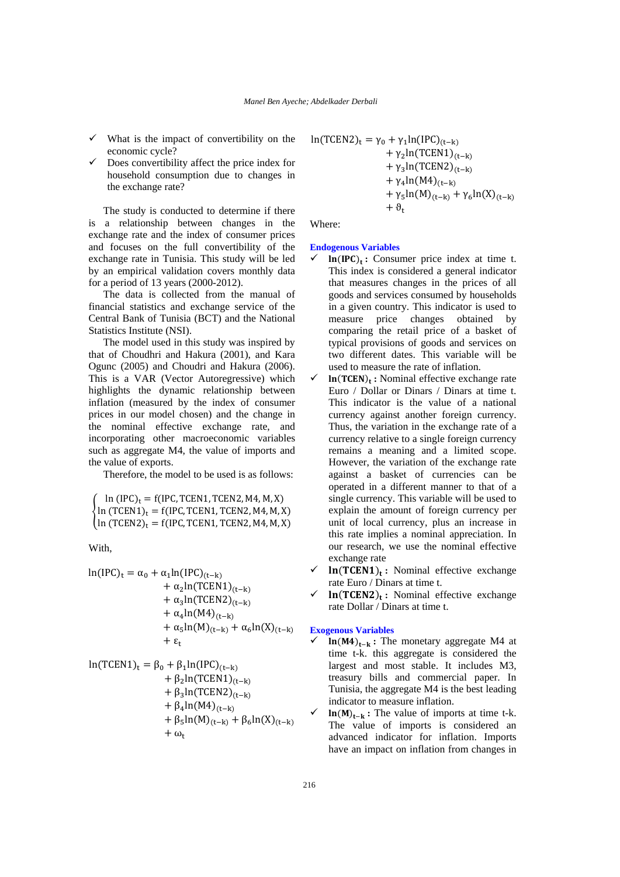- What is the impact of convertibility on the economic cycle?
- Does convertibility affect the price index for household consumption due to changes in the exchange rate?

The study is conducted to determine if there is a relationship between changes in the exchange rate and the index of consumer prices and focuses on the full convertibility of the exchange rate in Tunisia. This study will be led by an empirical validation covers monthly data for a period of 13 years (2000-2012).

The data is collected from the manual of financial statistics and exchange service of the Central Bank of Tunisia (BCT) and the National Statistics Institute (NSI).

The model used in this study was inspired by that of Choudhri and Hakura (2001), and Kara Ogunc (2005) and Choudri and Hakura (2006). This is a VAR (Vector Autoregressive) which highlights the dynamic relationship between inflation (measured by the index of consumer prices in our model chosen) and the change in the nominal effective exchange rate, and incorporating other macroeconomic variables such as aggregate M4, the value of imports and the value of exports.

Therefore, the model to be used is as follows:

ቐ ln  $(IPC)_t = f(IPC, TCPEN1, TCPEN2, M4, M, X)$ ln  $(TCEN1)<sub>t</sub> = f(IPC, TCEN1, TCEN2, M4, M, X)$  $\ln (TCEN2)_{t} = f(IPC, TCEN1, TCEN2, M4, M, X)$ 

With,

$$
\ln(\text{IPC})_t = \alpha_0 + \alpha_1 \ln(\text{IPC})_{(t-k)} + \alpha_2 \ln(\text{TCEN1})_{(t-k)} + \alpha_3 \ln(\text{TCEN2})_{(t-k)} + \alpha_4 \ln(M4)_{(t-k)} + \alpha_5 \ln(M)_{(t-k)} + \alpha_6 \ln(X)_{(t-k)} + \epsilon_t
$$

$$
\ln(TCEN1)_t = \beta_0 + \beta_1 \ln(IPC)_{(t-k)} \n+ \beta_2 \ln(TCEN1)_{(t-k)} \n+ \beta_3 \ln(TCEN2)_{(t-k)} \n+ \beta_4 \ln(M4)_{(t-k)} \n+ \beta_5 \ln(M)_{(t-k)} + \beta_6 \ln(X)_{(t-k)} \n+ \omega_t
$$

$$
\ln(TCEN2)_t = \gamma_0 + \gamma_1 \ln(IPC)_{(t-k)} + \gamma_2 \ln(TCEN1)_{(t-k)} + \gamma_3 \ln(TCEN2)_{(t-k)} + \gamma_4 \ln(M4)_{(t-k)} + \gamma_5 \ln(M)_{(t-k)} + \gamma_6 \ln(X)_{(t-k)} + \vartheta_t
$$

Where:

# **Endogenous Variables**

- $\ln(\text{IPC})_t$ : Consumer price index at time t. This index is considered a general indicator that measures changes in the prices of all goods and services consumed by households in a given country. This indicator is used to measure price changes obtained by comparing the retail price of a basket of typical provisions of goods and services on two different dates. This variable will be used to measure the rate of inflation.
- In(TCEN)<sub>t</sub>: Nominal effective exchange rate Euro / Dollar or Dinars / Dinars at time t. This indicator is the value of a national currency against another foreign currency. Thus, the variation in the exchange rate of a currency relative to a single foreign currency remains a meaning and a limited scope. However, the variation of the exchange rate against a basket of currencies can be operated in a different manner to that of a single currency. This variable will be used to explain the amount of foreign currency per unit of local currency, plus an increase in this rate implies a nominal appreciation. In our research, we use the nominal effective exchange rate
- In(TCEN1)<sub>t</sub>: Nominal effective exchange rate Euro / Dinars at time t.
- **ln**(TCEN2)<sub>t</sub>: Nominal effective exchange rate Dollar / Dinars at time t.

#### **Exogenous Variables**

- $\ln(M4)_{t-k}$ : The monetary aggregate M4 at time t-k. this aggregate is considered the largest and most stable. It includes M3, treasury bills and commercial paper. In Tunisia, the aggregate M4 is the best leading indicator to measure inflation.
- $\ln(M)_{t-k}$ : The value of imports at time t-k. The value of imports is considered an advanced indicator for inflation. Imports have an impact on inflation from changes in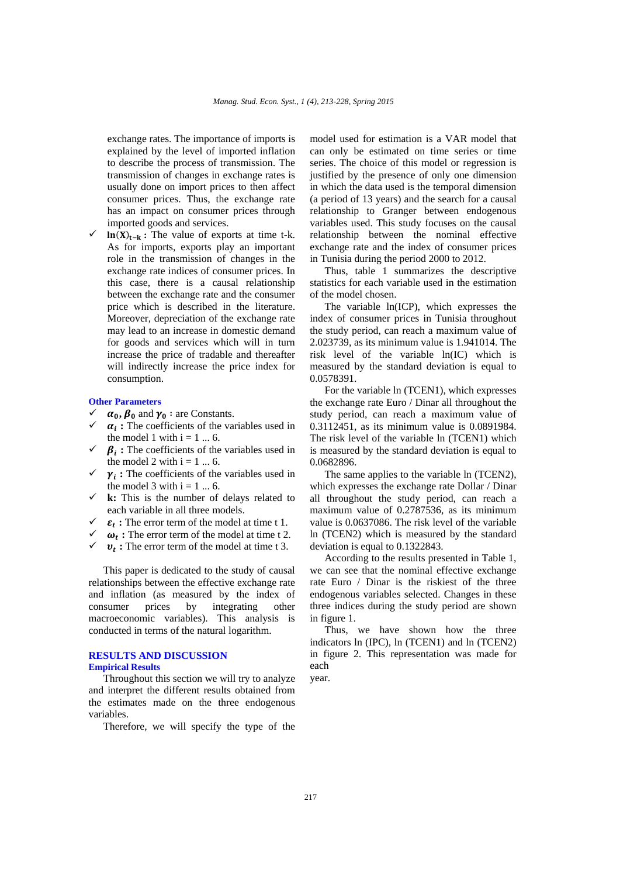exchange rates. The importance of imports is explained by the level of imported inflation to describe the process of transmission. The transmission of changes in exchange rates is usually done on import prices to then affect consumer prices. Thus, the exchange rate has an impact on consumer prices through imported goods and services.

 $\ln(X)_{t-k}$ : The value of exports at time t-k. As for imports, exports play an important role in the transmission of changes in the exchange rate indices of consumer prices. In this case, there is a causal relationship between the exchange rate and the consumer price which is described in the literature. Moreover, depreciation of the exchange rate may lead to an increase in domestic demand for goods and services which will in turn increase the price of tradable and thereafter will indirectly increase the price index for consumption.

#### **Other Parameters**

- $\alpha_0$ ,  $\beta_0$  and  $\gamma_0$  : are Constants.
- $\alpha_i$ : The coefficients of the variables used in the model 1 with  $i = 1 ... 6$ .
- $\beta_i$ : The coefficients of the variables used in the model 2 with  $i = 1 ... 6$ .
- $\gamma_i$ : The coefficients of the variables used in the model 3 with  $i = 1 \dots 6$ .
- $\checkmark$  **k:** This is the number of delays related to each variable in all three models.
- $\varepsilon_t$ : The error term of the model at time t 1.
- $\omega_t$ : The error term of the model at time t 2.
- $v_t$ : The error term of the model at time t 3.

This paper is dedicated to the study of causal relationships between the effective exchange rate and inflation (as measured by the index of consumer prices by integrating other macroeconomic variables). This analysis is conducted in terms of the natural logarithm.

## **RESULTS AND DISCUSSION Empirical Results**

Throughout this section we will try to analyze and interpret the different results obtained from the estimates made on the three endogenous variables.

Therefore, we will specify the type of the

model used for estimation is a VAR model that can only be estimated on time series or time series. The choice of this model or regression is justified by the presence of only one dimension in which the data used is the temporal dimension (a period of 13 years) and the search for a causal relationship to Granger between endogenous variables used. This study focuses on the causal relationship between the nominal effective exchange rate and the index of consumer prices in Tunisia during the period 2000 to 2012.

Thus, table 1 summarizes the descriptive statistics for each variable used in the estimation of the model chosen.

The variable ln(ICP), which expresses the index of consumer prices in Tunisia throughout the study period, can reach a maximum value of 2.023739, as its minimum value is 1.941014. The risk level of the variable ln(IC) which is measured by the standard deviation is equal to 0.0578391.

For the variable ln (TCEN1), which expresses the exchange rate Euro / Dinar all throughout the study period, can reach a maximum value of 0.3112451, as its minimum value is 0.0891984. The risk level of the variable ln (TCEN1) which is measured by the standard deviation is equal to 0.0682896.

The same applies to the variable ln (TCEN2), which expresses the exchange rate Dollar / Dinar all throughout the study period, can reach a maximum value of 0.2787536, as its minimum value is 0.0637086. The risk level of the variable ln (TCEN2) which is measured by the standard deviation is equal to 0.1322843.

According to the results presented in Table 1, we can see that the nominal effective exchange rate Euro / Dinar is the riskiest of the three endogenous variables selected. Changes in these three indices during the study period are shown in figure 1.

Thus, we have shown how the three indicators ln (IPC), ln (TCEN1) and ln (TCEN2) in figure 2. This representation was made for each

year.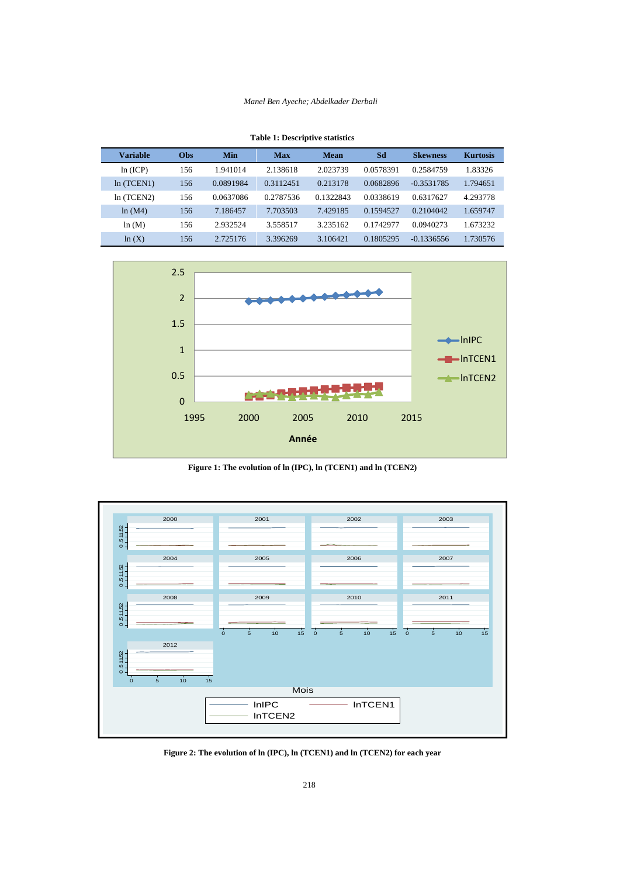#### *Manel Ben Ayeche; Abdelkader Derbali*

|  |  | <b>Table 1: Descriptive statistics</b> |  |
|--|--|----------------------------------------|--|
|--|--|----------------------------------------|--|

| Variable  | <b>Obs</b> | Min       | <b>Max</b> | <b>Mean</b> | Sd        | <b>Skewness</b> | <b>Kurtosis</b> |
|-----------|------------|-----------|------------|-------------|-----------|-----------------|-----------------|
| ln (ICP)  | 156        | 1.941014  | 2.138618   | 2.023739    | 0.0578391 | 0.2584759       | 1.83326         |
| ln(TCEN1) | 156        | 0.0891984 | 0.3112451  | 0.213178    | 0.0682896 | $-0.3531785$    | 1.794651        |
| ln(TCEN2) | 156        | 0.0637086 | 0.2787536  | 0.1322843   | 0.0338619 | 0.6317627       | 4.293778        |
| ln(M4)    | 156        | 7.186457  | 7.703503   | 7.429185    | 0.1594527 | 0.2104042       | 1.659747        |
| ln(M)     | 156        | 2.932524  | 3.558517   | 3.235162    | 0.1742977 | 0.0940273       | 1.673232        |
| ln(X)     | 156        | 2.725176  | 3.396269   | 3.106421    | 0.1805295 | $-0.1336556$    | 1.730576        |



**Figure 1: The evolution of ln (IPC), ln (TCEN1) and ln (TCEN2)** 



**Figure 2: The evolution of ln (IPC), ln (TCEN1) and ln (TCEN2) for each year**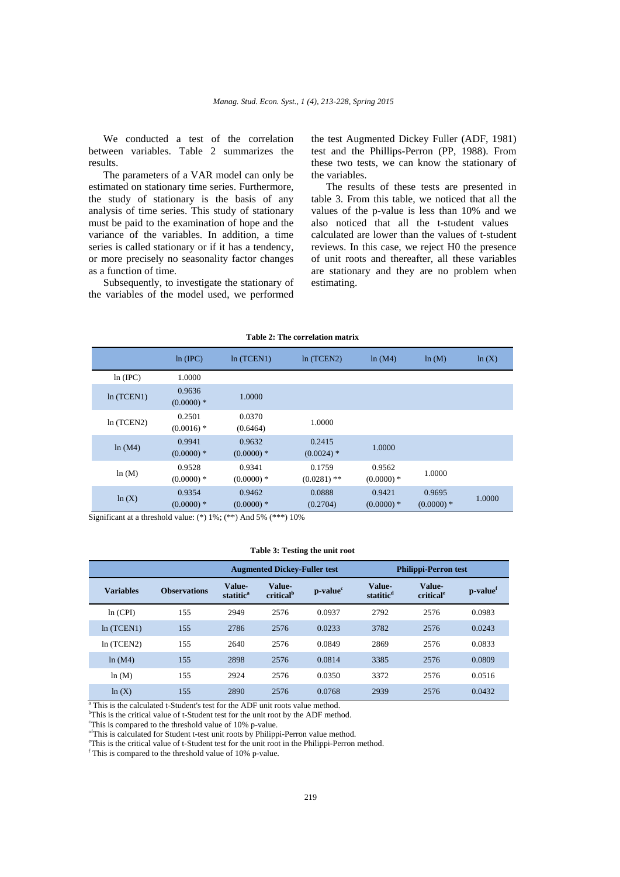We conducted a test of the correlation between variables. Table 2 summarizes the results.

The parameters of a VAR model can only be estimated on stationary time series. Furthermore, the study of stationary is the basis of any analysis of time series. This study of stationary must be paid to the examination of hope and the variance of the variables. In addition, a time series is called stationary or if it has a tendency, or more precisely no seasonality factor changes as a function of time.

Subsequently, to investigate the stationary of the variables of the model used, we performed

the test Augmented Dickey Fuller (ADF, 1981) test and the Phillips-Perron (PP, 1988). From these two tests, we can know the stationary of the variables.

The results of these tests are presented in table 3. From this table, we noticed that all the values of the p-value is less than 10% and we also noticed that all the t-student values calculated are lower than the values of t-student reviews. In this case, we reject H0 the presence of unit roots and thereafter, all these variables are stationary and they are no problem when estimating.

| Table 2: The correlation matrix |                        |                       |                         |                       |                       |        |
|---------------------------------|------------------------|-----------------------|-------------------------|-----------------------|-----------------------|--------|
|                                 | ln (IPC)               | ln(TCEN1)             | ln(TCEN2)               | ln(M4)                | ln(M)                 | ln(X)  |
| ln (IPC)                        | 1.0000                 |                       |                         |                       |                       |        |
| ln(TCEN1)                       | 0.9636<br>$(0.0000)*$  | 1.0000                |                         |                       |                       |        |
| ln(TCEN2)                       | 0.2501<br>$(0.0016)$ * | 0.0370<br>(0.6464)    | 1.0000                  |                       |                       |        |
| ln(M4)                          | 0.9941<br>$(0.0000)*$  | 0.9632<br>$(0.0000)*$ | 0.2415<br>$(0.0024)$ *  | 1.0000                |                       |        |
| ln(M)                           | 0.9528<br>$(0.0000)*$  | 0.9341<br>$(0.0000)*$ | 0.1759<br>$(0.0281)$ ** | 0.9562<br>$(0.0000)*$ | 1.0000                |        |
| ln(X)                           | 0.9354<br>$(0.0000)*$  | 0.9462<br>$(0.0000)*$ | 0.0888<br>(0.2704)      | 0.9421<br>$(0.0000)*$ | 0.9695<br>$(0.0000)*$ | 1.0000 |

Significant at a threshold value: (\*) 1%; (\*\*) And 5% (\*\*\*) 10%

#### **Table 3: Testing the unit root**

|                  |                     | <b>Augmented Dickey-Fuller test</b> |                                        |            | <b>Philippi-Perron test</b>     |                                 |                      |
|------------------|---------------------|-------------------------------------|----------------------------------------|------------|---------------------------------|---------------------------------|----------------------|
| <b>Variables</b> | <b>Observations</b> | Value-<br>statitic <sup>a</sup>     | <b>Value-</b><br>critical <sup>b</sup> | $p-valuec$ | Value-<br>statitic <sup>d</sup> | Value-<br>critical <sup>e</sup> | p-value <sup>f</sup> |
| ln (CPI)         | 155                 | 2949                                | 2576                                   | 0.0937     | 2792                            | 2576                            | 0.0983               |
| ln(TCEN1)        | 155                 | 2786                                | 2576                                   | 0.0233     | 3782                            | 2576                            | 0.0243               |
| ln(TCEN2)        | 155                 | 2640                                | 2576                                   | 0.0849     | 2869                            | 2576                            | 0.0833               |
| ln(M4)           | 155                 | 2898                                | 2576                                   | 0.0814     | 3385                            | 2576                            | 0.0809               |
| ln(M)            | 155                 | 2924                                | 2576                                   | 0.0350     | 3372                            | 2576                            | 0.0516               |
| ln(X)            | 155                 | 2890                                | 2576                                   | 0.0768     | 2939                            | 2576                            | 0.0432               |

<sup>a</sup> This is the calculated t-Student's test for the ADF unit roots value method.

 $b$ This is the critical value of t-Student test for the unit root by the ADF method.<br><sup>c</sup>This is compared to the threshold value of  $10\%$  p value.

This is compared to the threshold value of 10% p-value.

<sup>of</sup>This is calculated for Student t-test unit roots by Philippi-Perron value method.

<sup>e</sup>This is the critical value of t-Student test for the unit root in the Philippi-Perron method.

<sup>f</sup> This is compared to the threshold value of 10% p-value.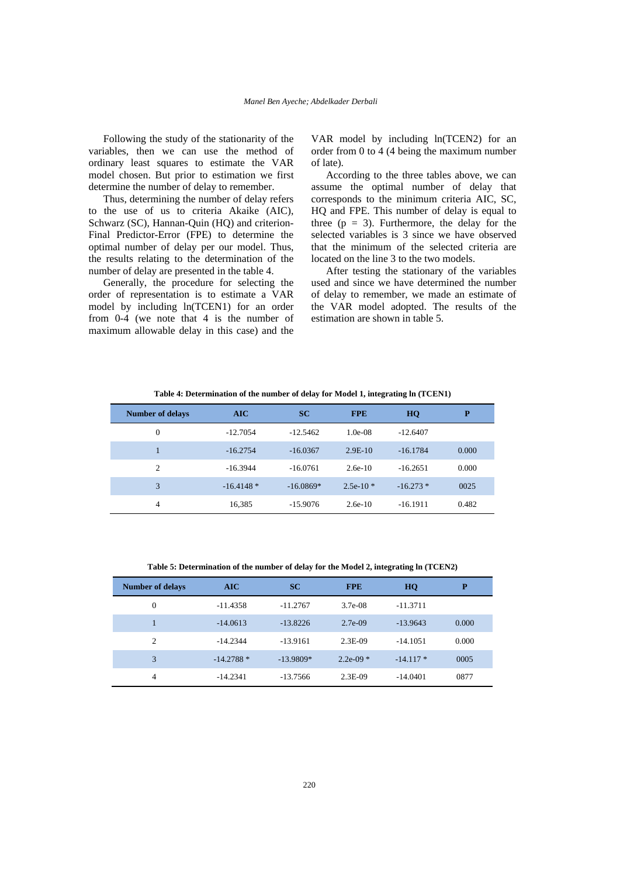Following the study of the stationarity of the variables, then we can use the method of ordinary least squares to estimate the VAR model chosen. But prior to estimation we first determine the number of delay to remember.

Thus, determining the number of delay refers to the use of us to criteria Akaike (AIC), Schwarz (SC), Hannan-Quin (HQ) and criterion-Final Predictor-Error (FPE) to determine the optimal number of delay per our model. Thus, the results relating to the determination of the number of delay are presented in the table 4.

Generally, the procedure for selecting the order of representation is to estimate a VAR model by including ln(TCEN1) for an order from 0-4 (we note that 4 is the number of maximum allowable delay in this case) and the

VAR model by including ln(TCEN2) for an order from 0 to 4 (4 being the maximum number of late).

According to the three tables above, we can assume the optimal number of delay that corresponds to the minimum criteria AIC, SC, HQ and FPE. This number of delay is equal to three  $(p = 3)$ . Furthermore, the delay for the selected variables is 3 since we have observed that the minimum of the selected criteria are located on the line 3 to the two models.

After testing the stationary of the variables used and since we have determined the number of delay to remember, we made an estimate of the VAR model adopted. The results of the estimation are shown in table 5.

**Table 4: Determination of the number of delay for Model 1, integrating ln (TCEN1)**

| <b>Number of delays</b> | AIC         | <b>SC</b>   | <b>FPE</b> | HQ         | P     |
|-------------------------|-------------|-------------|------------|------------|-------|
| $\theta$                | $-12.7054$  | $-12.5462$  | $1.0e-08$  | $-12.6407$ |       |
|                         | $-16.2754$  | $-16.0367$  | $2.9E-10$  | $-16.1784$ | 0.000 |
| 2                       | $-16.3944$  | $-16.0761$  | $2.6e-10$  | $-16.2651$ | 0.000 |
| 3                       | $-16.4148*$ | $-16.0869*$ | $2.5e-10*$ | $-16.273*$ | 0025  |
| 4                       | 16,385      | $-15.9076$  | $2.6e-10$  | $-16.1911$ | 0.482 |

**Table 5: Determination of the number of delay for the Model 2, integrating ln (TCEN2)**

| <b>Number of delays</b> | AIC         | <b>SC</b>   | <b>FPE</b>  | HQ         | P     |
|-------------------------|-------------|-------------|-------------|------------|-------|
| $\overline{0}$          | $-11.4358$  | $-11.2767$  | $3.7e-0.8$  | $-11.3711$ |       |
| 1                       | $-14.0613$  | $-13.8226$  | $2.7e-09$   | $-13.9643$ | 0.000 |
| $\overline{c}$          | $-14.2344$  | $-13.9161$  | $2.3E-09$   | $-14.1051$ | 0.000 |
| 3                       | $-14.2788*$ | $-13.9809*$ | $2.2e-09$ * | $-14.117*$ | 0005  |
| 4                       | $-14.2341$  | $-13.7566$  | $2.3E-09$   | $-14.0401$ | 0877  |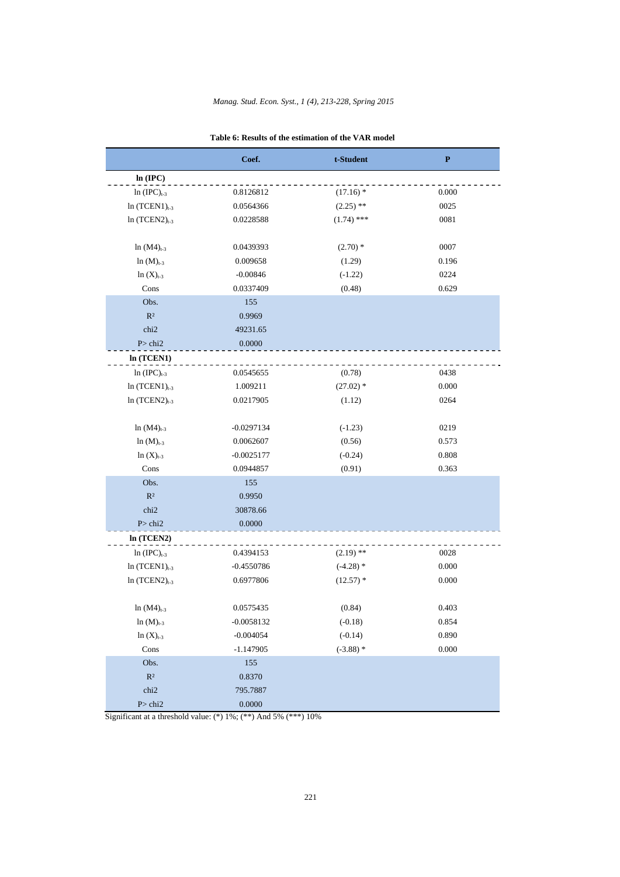|                                               | Coef.        | t-Student    | $\bf P$ |
|-----------------------------------------------|--------------|--------------|---------|
| ln (IPC)                                      |              |              |         |
| $ln (IPC)_{t-3}$                              | 0.8126812    | $(17.16)$ *  | 0.000   |
| $ln(TCEN1)_{t-3}$                             | 0.0564366    | $(2.25)$ **  | 0025    |
| $ln(TCEN2)_{t-3}$                             | 0.0228588    | $(1.74)$ *** | 0081    |
|                                               |              |              |         |
| $ln (M4)_{t-3}$                               | 0.0439393    | $(2.70)$ *   | 0007    |
| $ln(M)_{t-3}$                                 | 0.009658     | (1.29)       | 0.196   |
| $ln(X)_{t-3}$                                 | $-0.00846$   | $(-1.22)$    | 0224    |
| Cons                                          | 0.0337409    | (0.48)       | 0.629   |
| Obs.                                          | 155          |              |         |
| $R^2$                                         | 0.9969       |              |         |
| chi2                                          | 49231.65     |              |         |
| P > chi2                                      | 0.0000       |              |         |
| In (TCEN1)                                    |              |              |         |
| $ln (IPC)_{t-3}$                              | 0.0545655    | (0.78)       | 0438    |
| $ln(TCEN1)_{t-3}$                             | 1.009211     | $(27.02)$ *  | 0.000   |
| $ln(TCEN2)_{t-3}$                             | 0.0217905    | (1.12)       | 0264    |
|                                               |              |              |         |
| $ln (M4)_{t-3}$                               | $-0.0297134$ | $(-1.23)$    | 0219    |
| $ln (M)_{t-3}$                                | 0.0062607    | (0.56)       | 0.573   |
| $ln(X)_{t-3}$                                 | $-0.0025177$ | $(-0.24)$    | 0.808   |
| Cons                                          | 0.0944857    | (0.91)       | 0.363   |
| Obs.                                          | 155          |              |         |
| $R^2$                                         | 0.9950       |              |         |
| chi <sub>2</sub>                              | 30878.66     |              |         |
| P > chi2                                      | 0.0000       |              |         |
| In (TCEN2)                                    |              |              |         |
| $ln (IPC)_{t-3}$                              | 0.4394153    | $(2.19)$ **  | 0028    |
| $ln(TCEN1)_{t-3}$                             | $-0.4550786$ | $(-4.28)$ *  | 0.000   |
| $ln(TCEN2)_{t-3}$                             | 0.6977806    | $(12.57)$ *  | 0.000   |
|                                               |              |              |         |
| $ln (M4)_{t-3}$                               | 0.0575435    | (0.84)       | 0.403   |
| $ln (M)_{t-3}$                                | $-0.0058132$ | $(-0.18)$    | 0.854   |
| $ln(X)_{t-3}$                                 | $-0.004054$  | $(-0.14)$    | 0.890   |
| Cons                                          | $-1.147905$  | $(-3.88)$ *  | 0.000   |
| Obs.                                          | $155\,$      |              |         |
| $\mathbb{R}^2$                                | 0.8370       |              |         |
| chi <sub>2</sub>                              | 795.7887     |              |         |
| $\mbox{P\hspace{-1.2mm}>\hspace{-1.2mm}chi2}$ | 0.0000       |              |         |

| Table 6: Results of the estimation of the VAR model |  |  |  |  |  |  |  |
|-----------------------------------------------------|--|--|--|--|--|--|--|
|-----------------------------------------------------|--|--|--|--|--|--|--|

Significant at a threshold value: (\*) 1%; (\*\*) And 5% (\*\*\*) 10%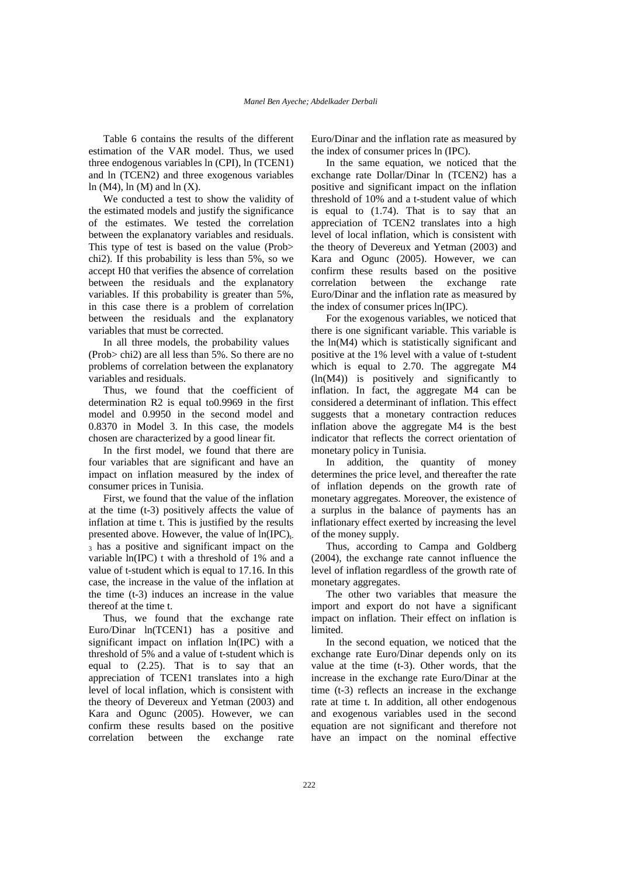Table 6 contains the results of the different estimation of the VAR model. Thus, we used three endogenous variables ln (CPI), ln (TCEN1) and ln (TCEN2) and three exogenous variables ln (M4), ln (M) and ln  $(X)$ .

We conducted a test to show the validity of the estimated models and justify the significance of the estimates. We tested the correlation between the explanatory variables and residuals. This type of test is based on the value (Prob> chi2). If this probability is less than 5%, so we accept H0 that verifies the absence of correlation between the residuals and the explanatory variables. If this probability is greater than 5%, in this case there is a problem of correlation between the residuals and the explanatory variables that must be corrected.

In all three models, the probability values (Prob> chi2) are all less than 5%. So there are no problems of correlation between the explanatory variables and residuals.

Thus, we found that the coefficient of determination R2 is equal to0.9969 in the first model and 0.9950 in the second model and 0.8370 in Model 3. In this case, the models chosen are characterized by a good linear fit.

In the first model, we found that there are four variables that are significant and have an impact on inflation measured by the index of consumer prices in Tunisia.

First, we found that the value of the inflation at the time (t-3) positively affects the value of inflation at time t. This is justified by the results presented above. However, the value of  $ln(IPC)_{t-}$ 3 has a positive and significant impact on the variable ln(IPC) t with a threshold of 1% and a value of t-student which is equal to 17.16. In this case, the increase in the value of the inflation at the time (t-3) induces an increase in the value thereof at the time t.

Thus, we found that the exchange rate Euro/Dinar ln(TCEN1) has a positive and significant impact on inflation ln(IPC) with a threshold of 5% and a value of t-student which is equal to (2.25). That is to say that an appreciation of TCEN1 translates into a high level of local inflation, which is consistent with the theory of Devereux and Yetman (2003) and Kara and Ogunc (2005). However, we can confirm these results based on the positive correlation between the exchange rate

Euro/Dinar and the inflation rate as measured by the index of consumer prices ln (IPC).

In the same equation, we noticed that the exchange rate Dollar/Dinar ln (TCEN2) has a positive and significant impact on the inflation threshold of 10% and a t-student value of which is equal to (1.74). That is to say that an appreciation of TCEN2 translates into a high level of local inflation, which is consistent with the theory of Devereux and Yetman (2003) and Kara and Ogunc (2005). However, we can confirm these results based on the positive correlation between the exchange rate Euro/Dinar and the inflation rate as measured by the index of consumer prices ln(IPC).

For the exogenous variables, we noticed that there is one significant variable. This variable is the ln(M4) which is statistically significant and positive at the 1% level with a value of t-student which is equal to 2.70. The aggregate M4 (ln(M4)) is positively and significantly to inflation. In fact, the aggregate M4 can be considered a determinant of inflation. This effect suggests that a monetary contraction reduces inflation above the aggregate M4 is the best indicator that reflects the correct orientation of monetary policy in Tunisia.

In addition, the quantity of money determines the price level, and thereafter the rate of inflation depends on the growth rate of monetary aggregates. Moreover, the existence of a surplus in the balance of payments has an inflationary effect exerted by increasing the level of the money supply.

Thus, according to Campa and Goldberg (2004), the exchange rate cannot influence the level of inflation regardless of the growth rate of monetary aggregates.

The other two variables that measure the import and export do not have a significant impact on inflation. Their effect on inflation is limited.

In the second equation, we noticed that the exchange rate Euro/Dinar depends only on its value at the time (t-3). Other words, that the increase in the exchange rate Euro/Dinar at the time (t-3) reflects an increase in the exchange rate at time t. In addition, all other endogenous and exogenous variables used in the second equation are not significant and therefore not have an impact on the nominal effective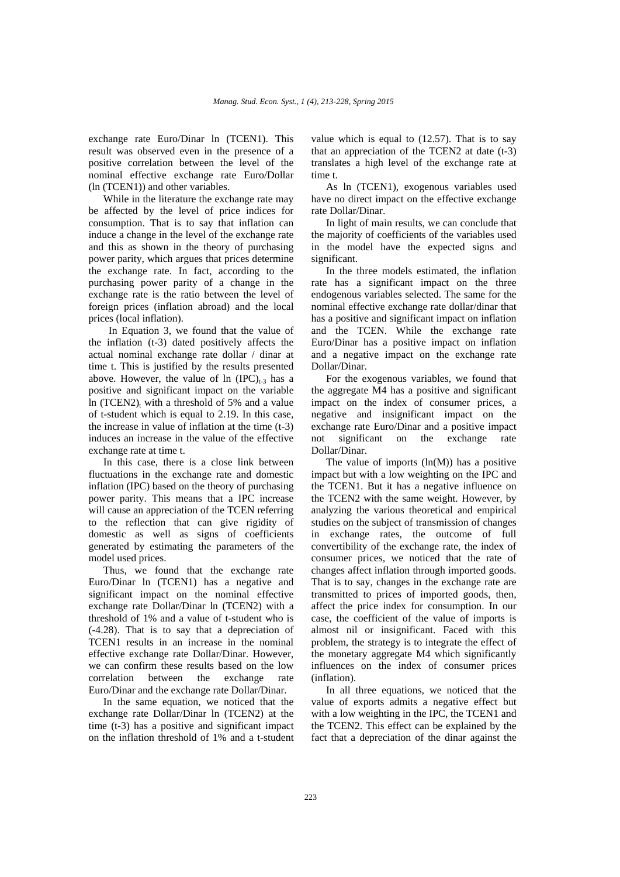exchange rate Euro/Dinar ln (TCEN1). This result was observed even in the presence of a positive correlation between the level of the nominal effective exchange rate Euro/Dollar (ln (TCEN1)) and other variables.

While in the literature the exchange rate may be affected by the level of price indices for consumption. That is to say that inflation can induce a change in the level of the exchange rate and this as shown in the theory of purchasing power parity, which argues that prices determine the exchange rate. In fact, according to the purchasing power parity of a change in the exchange rate is the ratio between the level of foreign prices (inflation abroad) and the local prices (local inflation).

 In Equation 3, we found that the value of the inflation (t-3) dated positively affects the actual nominal exchange rate dollar / dinar at time t. This is justified by the results presented above. However, the value of  $ln (IPC)_{t-3}$  has a positive and significant impact on the variable ln (TCEN2) $<sub>t</sub>$  with a threshold of 5% and a value</sub> of t-student which is equal to 2.19. In this case, the increase in value of inflation at the time (t-3) induces an increase in the value of the effective exchange rate at time t.

In this case, there is a close link between fluctuations in the exchange rate and domestic inflation (IPC) based on the theory of purchasing power parity. This means that a IPC increase will cause an appreciation of the TCEN referring to the reflection that can give rigidity of domestic as well as signs of coefficients generated by estimating the parameters of the model used prices.

Thus, we found that the exchange rate Euro/Dinar ln (TCEN1) has a negative and significant impact on the nominal effective exchange rate Dollar/Dinar ln (TCEN2) with a threshold of 1% and a value of t-student who is (-4.28). That is to say that a depreciation of TCEN1 results in an increase in the nominal effective exchange rate Dollar/Dinar. However, we can confirm these results based on the low correlation between the exchange rate Euro/Dinar and the exchange rate Dollar/Dinar.

In the same equation, we noticed that the exchange rate Dollar/Dinar ln (TCEN2) at the time (t-3) has a positive and significant impact on the inflation threshold of 1% and a t-student

value which is equal to (12.57). That is to say that an appreciation of the TCEN2 at date (t-3) translates a high level of the exchange rate at time t.

As ln (TCEN1), exogenous variables used have no direct impact on the effective exchange rate Dollar/Dinar.

In light of main results, we can conclude that the majority of coefficients of the variables used in the model have the expected signs and significant.

In the three models estimated, the inflation rate has a significant impact on the three endogenous variables selected. The same for the nominal effective exchange rate dollar/dinar that has a positive and significant impact on inflation and the TCEN. While the exchange rate Euro/Dinar has a positive impact on inflation and a negative impact on the exchange rate Dollar/Dinar.

For the exogenous variables, we found that the aggregate M4 has a positive and significant impact on the index of consumer prices, a negative and insignificant impact on the exchange rate Euro/Dinar and a positive impact not significant on the exchange rate Dollar/Dinar.

The value of imports  $(ln(M))$  has a positive impact but with a low weighting on the IPC and the TCEN1. But it has a negative influence on the TCEN2 with the same weight. However, by analyzing the various theoretical and empirical studies on the subject of transmission of changes in exchange rates, the outcome of full convertibility of the exchange rate, the index of consumer prices, we noticed that the rate of changes affect inflation through imported goods. That is to say, changes in the exchange rate are transmitted to prices of imported goods, then, affect the price index for consumption. In our case, the coefficient of the value of imports is almost nil or insignificant. Faced with this problem, the strategy is to integrate the effect of the monetary aggregate M4 which significantly influences on the index of consumer prices (inflation).

In all three equations, we noticed that the value of exports admits a negative effect but with a low weighting in the IPC, the TCEN1 and the TCEN2. This effect can be explained by the fact that a depreciation of the dinar against the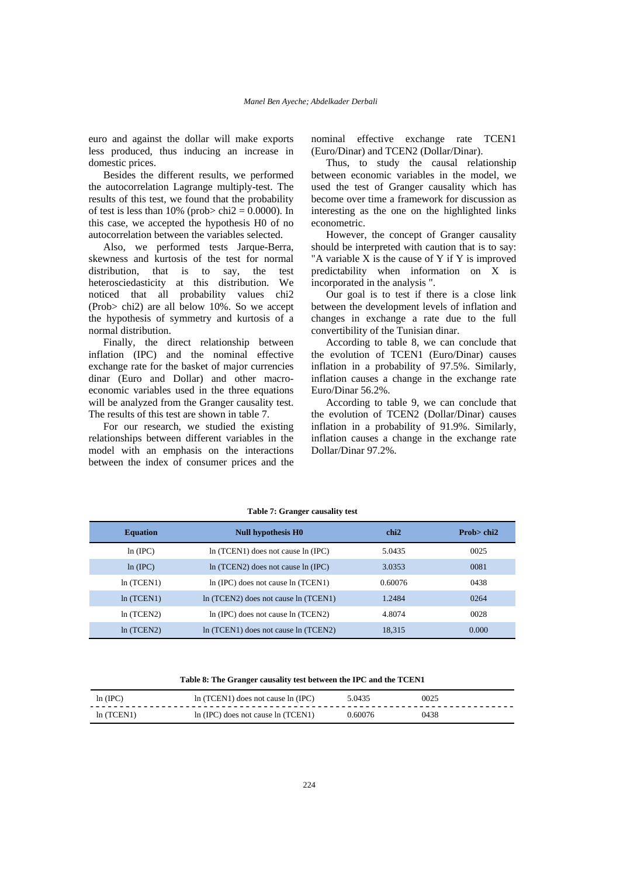euro and against the dollar will make exports less produced, thus inducing an increase in domestic prices.

Besides the different results, we performed the autocorrelation Lagrange multiply-test. The results of this test, we found that the probability of test is less than  $10\%$  (prob> chi2 = 0.0000). In this case, we accepted the hypothesis H0 of no autocorrelation between the variables selected.

Also, we performed tests Jarque-Berra, skewness and kurtosis of the test for normal distribution, that is to say, the test heterosciedasticity at this distribution. We noticed that all probability values chi2 (Prob> chi2) are all below 10%. So we accept the hypothesis of symmetry and kurtosis of a normal distribution.

Finally, the direct relationship between inflation (IPC) and the nominal effective exchange rate for the basket of major currencies dinar (Euro and Dollar) and other macroeconomic variables used in the three equations will be analyzed from the Granger causality test. The results of this test are shown in table 7.

For our research, we studied the existing relationships between different variables in the model with an emphasis on the interactions between the index of consumer prices and the nominal effective exchange rate TCEN1 (Euro/Dinar) and TCEN2 (Dollar/Dinar).

Thus, to study the causal relationship between economic variables in the model, we used the test of Granger causality which has become over time a framework for discussion as interesting as the one on the highlighted links econometric.

However, the concept of Granger causality should be interpreted with caution that is to say: "A variable X is the cause of Y if Y is improved predictability when information on X is incorporated in the analysis ".

Our goal is to test if there is a close link between the development levels of inflation and changes in exchange a rate due to the full convertibility of the Tunisian dinar.

According to table 8, we can conclude that the evolution of TCEN1 (Euro/Dinar) causes inflation in a probability of 97.5%. Similarly, inflation causes a change in the exchange rate Euro/Dinar 56.2%.

According to table 9, we can conclude that the evolution of TCEN2 (Dollar/Dinar) causes inflation in a probability of 91.9%. Similarly, inflation causes a change in the exchange rate Dollar/Dinar 97.2%.

| <b>Equation</b> | <b>Null hypothesis H0</b>              | chi2    | Prob $>$ chi $2$ |
|-----------------|----------------------------------------|---------|------------------|
| ln (IPC)        | $ln(TCEN1)$ does not cause $ln(IPC)$   | 5.0435  | 0025             |
| ln (IPC)        | $ln(TCEN2)$ does not cause $ln(IPC)$   | 3.0353  | 0081             |
| ln(TCEN1)       | In (IPC) does not cause In (TCEN1)     | 0.60076 | 0438             |
| ln(TCEN1)       | In (TCEN2) does not cause In (TCEN1)   | 1.2484  | 0264             |
| ln(TCEN2)       | $ln (IPC)$ does not cause $ln (TCEN2)$ | 4.8074  | 0028             |
| ln(TCEN2)       | In (TCEN1) does not cause In (TCEN2)   | 18.315  | 0.000            |

# **Table 7: Granger causality test**

**Table 8: The Granger causality test between the IPC and the TCEN1** 

| ln (IPC)  | In (TCEN1) does not cause In (IPC) | 5.0435  | 0025 |
|-----------|------------------------------------|---------|------|
| ln(TCEN1) | In (IPC) does not cause In (TCEN1) | 0.60076 | 0438 |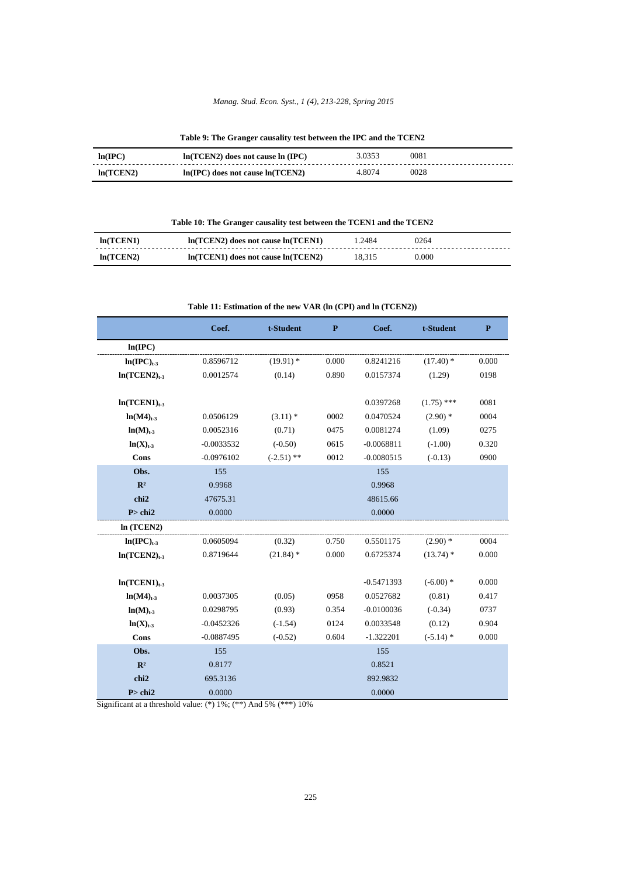## *Manag. Stud. Econ. Syst., 1 (4), 213-228, Spring 2015*

**Table 9: The Granger causality test between the IPC and the TCEN2** 

| ln(IPC)   | $ln(TCEN2)$ does not cause $ln (IPC)$ | 3.0353 | 0081 |
|-----------|---------------------------------------|--------|------|
| ln(TCEN2) | $ln(IPC)$ does not cause $ln(TCEN2)$  | 4 8074 | 0028 |

# **Table 10: The Granger causality test between the TCEN1 and the TCEN2**

| ln(TCEN1) | $ln(TCEN2)$ does not cause $ln(TCEN1)$ | 1.2484 | 0264  |
|-----------|----------------------------------------|--------|-------|
| ln(TCEN2) | $ln(TCEN1)$ does not cause $ln(TCEN2)$ | 18.315 | 0.000 |

## **Table 11: Estimation of the new VAR (ln (CPI) and ln (TCEN2))**

|                       | Coef.        | t-Student    | $\mathbf{P}$<br>Coef. |              | t-Student    | $\mathbf{P}$ |  |  |
|-----------------------|--------------|--------------|-----------------------|--------------|--------------|--------------|--|--|
| ln(IPC)               |              |              |                       |              |              |              |  |  |
| $ln(IPC)_{t-3}$       | 0.8596712    | $(19.91)$ *  | 0.000                 | 0.8241216    | $(17.40)$ *  | 0.000        |  |  |
| $ln(TCEN2)_{t-3}$     | 0.0012574    | (0.14)       | 0.890<br>0.0157374    |              | (1.29)       | 0198         |  |  |
|                       |              |              |                       |              |              |              |  |  |
| $ln(TCEN1)_{t-3}$     |              |              | 0.0397268             |              | $(1.75)$ *** | 0081         |  |  |
| $ln(M4)_{t\text{-}3}$ | 0.0506129    | $(3.11)$ *   | 0002                  | 0.0470524    | $(2.90)$ *   | 0004         |  |  |
| $ln(M)_{t-3}$         | 0.0052316    | (0.71)       | 0475                  | 0.0081274    | (1.09)       | 0275         |  |  |
| $ln(X)_{t-3}$         | $-0.0033532$ | $(-0.50)$    | 0615                  | $-0.0068811$ | $(-1.00)$    | 0.320        |  |  |
| Cons                  | $-0.0976102$ | $(-2.51)$ ** | 0012                  | $-0.0080515$ | $(-0.13)$    | 0900         |  |  |
| Obs.                  | 155          |              | 155                   |              |              |              |  |  |
| $\mathbb{R}^2$        | 0.9968       |              | 0.9968                |              |              |              |  |  |
| chi2                  | 47675.31     |              | 48615.66              |              |              |              |  |  |
| P > chi2              | 0.0000       |              | 0.0000                |              |              |              |  |  |
| ln(TCEN2)             |              |              |                       |              |              |              |  |  |
| $ln(IPC)_{t-3}$       | 0.0605094    | (0.32)       | 0.750                 | 0.5501175    | $(2.90)$ *   | 0004         |  |  |
| $ln(TCEN2)_{t-3}$     | 0.8719644    | $(21.84)$ *  | 0.000                 | 0.6725374    | $(13.74)$ *  | 0.000        |  |  |
|                       |              |              |                       |              |              |              |  |  |
| $ln(TCEN1)_{t-3}$     |              |              | $-0.5471393$          |              | $(-6.00)$ *  | 0.000        |  |  |
| $ln(M4)_{t-3}$        | 0.0037305    | (0.05)       | 0958                  | 0.0527682    | (0.81)       | 0.417        |  |  |
| $ln(M)_{t-3}$         | 0.0298795    | (0.93)       | 0.354                 | $-0.0100036$ | $(-0.34)$    | 0737         |  |  |
| $ln(X)_{t-3}$         | $-0.0452326$ | $(-1.54)$    | 0124                  | 0.0033548    | (0.12)       | 0.904        |  |  |
| Cons                  | $-0.0887495$ | $(-0.52)$    | 0.604                 | $-1.322201$  | $(-5.14)$ *  | 0.000        |  |  |
| Obs.                  | 155          |              | 155                   |              |              |              |  |  |
| $\mathbb{R}^2$        | 0.8177       | 0.8521       |                       |              |              |              |  |  |
| chi2                  | 695.3136     | 892.9832     |                       |              |              |              |  |  |
| P > chi2              | 0.0000       | 0.0000       |                       |              |              |              |  |  |

Significant at a threshold value: (\*) 1%; (\*\*) And 5% (\*\*\*) 10%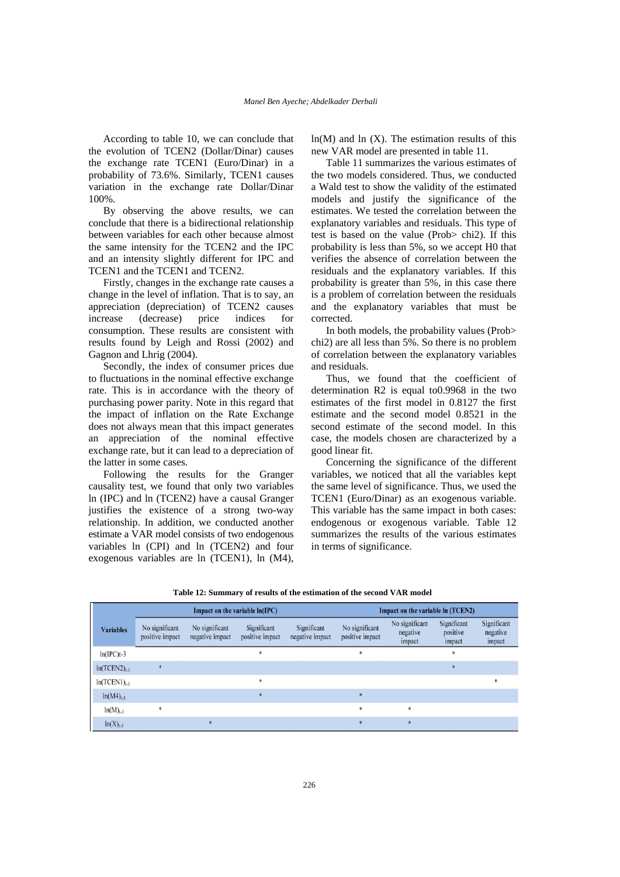According to table 10, we can conclude that the evolution of TCEN2 (Dollar/Dinar) causes the exchange rate TCEN1 (Euro/Dinar) in a probability of 73.6%. Similarly, TCEN1 causes variation in the exchange rate Dollar/Dinar 100%.

By observing the above results, we can conclude that there is a bidirectional relationship between variables for each other because almost the same intensity for the TCEN2 and the IPC and an intensity slightly different for IPC and TCEN1 and the TCEN1 and TCEN2.

Firstly, changes in the exchange rate causes a change in the level of inflation. That is to say, an appreciation (depreciation) of TCEN2 causes increase (decrease) price indices for consumption. These results are consistent with results found by Leigh and Rossi (2002) and Gagnon and Lhrig (2004).

Secondly, the index of consumer prices due to fluctuations in the nominal effective exchange rate. This is in accordance with the theory of purchasing power parity. Note in this regard that the impact of inflation on the Rate Exchange does not always mean that this impact generates an appreciation of the nominal effective exchange rate, but it can lead to a depreciation of the latter in some cases.

Following the results for the Granger causality test, we found that only two variables ln (IPC) and ln (TCEN2) have a causal Granger justifies the existence of a strong two-way relationship. In addition, we conducted another estimate a VAR model consists of two endogenous variables ln (CPI) and ln (TCEN2) and four exogenous variables are ln (TCEN1), ln (M4),

 $ln(M)$  and  $ln(X)$ . The estimation results of this new VAR model are presented in table 11.

Table 11 summarizes the various estimates of the two models considered. Thus, we conducted a Wald test to show the validity of the estimated models and justify the significance of the estimates. We tested the correlation between the explanatory variables and residuals. This type of test is based on the value (Prob> chi2). If this probability is less than 5%, so we accept H0 that verifies the absence of correlation between the residuals and the explanatory variables. If this probability is greater than 5%, in this case there is a problem of correlation between the residuals and the explanatory variables that must be corrected.

In both models, the probability values (Prob> chi2) are all less than 5%. So there is no problem of correlation between the explanatory variables and residuals.

Thus, we found that the coefficient of determination R2 is equal to0.9968 in the two estimates of the first model in 0.8127 the first estimate and the second model 0.8521 in the second estimate of the second model. In this case, the models chosen are characterized by a good linear fit.

Concerning the significance of the different variables, we noticed that all the variables kept the same level of significance. Thus, we used the TCEN1 (Euro/Dinar) as an exogenous variable. This variable has the same impact in both cases: endogenous or exogenous variable. Table 12 summarizes the results of the various estimates in terms of significance.

| Impact on the variable $ln(IPC)$ |                                   |                                   |                                | Impact on the variable ln (TCEN2) |                                   |                                      |                                   |                                   |
|----------------------------------|-----------------------------------|-----------------------------------|--------------------------------|-----------------------------------|-----------------------------------|--------------------------------------|-----------------------------------|-----------------------------------|
| <b>Variables</b>                 | No significant<br>positive impact | No significant<br>negative impact | Significant<br>positive impact | Significant<br>negative impact    | No significant<br>positive impact | No significant<br>negative<br>impact | Significant<br>positive<br>impact | Significant<br>negative<br>impact |
| $ln(IPC)$ t-3                    |                                   |                                   | ж                              |                                   | *                                 |                                      | $\ast$                            |                                   |
| $ln(TCEN2)_{1.3}$                |                                   |                                   |                                |                                   |                                   |                                      | $*$                               |                                   |
| $ln(TCEN1)_{1.3}$                |                                   |                                   | *                              |                                   |                                   |                                      |                                   |                                   |
| $ln(M4)_{t-3}$                   |                                   |                                   | $*$                            |                                   | $*$                               |                                      |                                   |                                   |
| $ln(M)_{t-3}$                    | $\ast$                            |                                   |                                |                                   | $\mathbf{k}$                      | $\ast$                               |                                   |                                   |
| $ln(X)_{t-3}$                    |                                   | *                                 |                                |                                   | $*$                               | $*$                                  |                                   |                                   |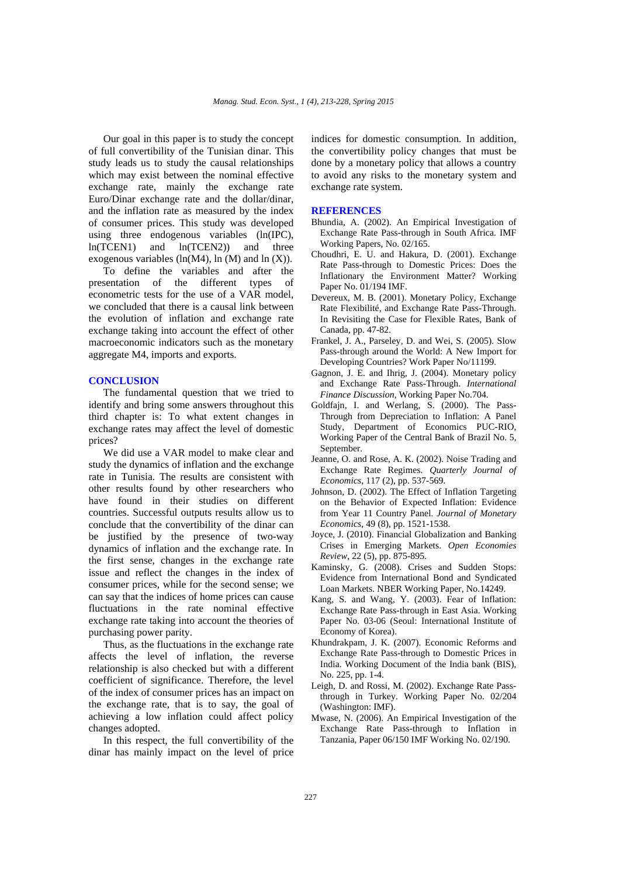Our goal in this paper is to study the concept of full convertibility of the Tunisian dinar. This study leads us to study the causal relationships which may exist between the nominal effective exchange rate, mainly the exchange rate Euro/Dinar exchange rate and the dollar/dinar, and the inflation rate as measured by the index of consumer prices. This study was developed using three endogenous variables (ln(IPC), ln(TCEN1) and ln(TCEN2)) and three exogenous variables (ln(M4), ln (M) and ln  $(X)$ ).

To define the variables and after the presentation of the different types of econometric tests for the use of a VAR model, we concluded that there is a causal link between the evolution of inflation and exchange rate exchange taking into account the effect of other macroeconomic indicators such as the monetary aggregate M4, imports and exports.

# **CONCLUSION**

The fundamental question that we tried to identify and bring some answers throughout this third chapter is: To what extent changes in exchange rates may affect the level of domestic prices?

We did use a VAR model to make clear and study the dynamics of inflation and the exchange rate in Tunisia. The results are consistent with other results found by other researchers who have found in their studies on different countries. Successful outputs results allow us to conclude that the convertibility of the dinar can be justified by the presence of two-way dynamics of inflation and the exchange rate. In the first sense, changes in the exchange rate issue and reflect the changes in the index of consumer prices, while for the second sense; we can say that the indices of home prices can cause fluctuations in the rate nominal effective exchange rate taking into account the theories of purchasing power parity.

Thus, as the fluctuations in the exchange rate affects the level of inflation, the reverse relationship is also checked but with a different coefficient of significance. Therefore, the level of the index of consumer prices has an impact on the exchange rate, that is to say, the goal of achieving a low inflation could affect policy changes adopted.

In this respect, the full convertibility of the dinar has mainly impact on the level of price indices for domestic consumption. In addition, the convertibility policy changes that must be done by a monetary policy that allows a country to avoid any risks to the monetary system and exchange rate system.

#### **REFERENCES**

- Bhundia, A. (2002). An Empirical Investigation of Exchange Rate Pass-through in South Africa. IMF Working Papers, No. 02/165.
- Choudhri, E. U. and Hakura, D. (2001). Exchange Rate Pass-through to Domestic Prices: Does the Inflationary the Environment Matter? Working Paper No. 01/194 IMF.
- Devereux, M. B. (2001). Monetary Policy, Exchange Rate Flexibilité, and Exchange Rate Pass-Through. In Revisiting the Case for Flexible Rates, Bank of Canada, pp. 47-82.
- Frankel, J. A., Parseley, D. and Wei, S. (2005). Slow Pass-through around the World: A New Import for Developing Countries? Work Paper No/11199.
- Gagnon, J. E. and Ihrig, J. (2004). Monetary policy and Exchange Rate Pass-Through. *International Finance Discussion*, Working Paper No.704.
- Goldfajn, I. and Werlang, S. (2000). The Pass-Through from Depreciation to Inflation: A Panel Study, Department of Economics PUC-RIO, Working Paper of the Central Bank of Brazil No. 5, September.
- Jeanne, O. and Rose, A. K. (2002). Noise Trading and Exchange Rate Regimes. *Quarterly Journal of Economics*, 117 (2), pp. 537-569.
- Johnson, D. (2002). The Effect of Inflation Targeting on the Behavior of Expected Inflation: Evidence from Year 11 Country Panel. *Journal of Monetary Economics*, 49 (8), pp. 1521-1538.
- Joyce, J. (2010). Financial Globalization and Banking Crises in Emerging Markets. *Open Economies Review*, 22 (5), pp. 875-895.
- Kaminsky, G. (2008). Crises and Sudden Stops: Evidence from International Bond and Syndicated Loan Markets. NBER Working Paper, No.14249.
- Kang, S. and Wang, Y. (2003). Fear of Inflation: Exchange Rate Pass-through in East Asia. Working Paper No. 03-06 (Seoul: International Institute of Economy of Korea).
- Khundrakpam, J. K. (2007). Economic Reforms and Exchange Rate Pass-through to Domestic Prices in India. Working Document of the India bank (BIS), No. 225, pp. 1-4.
- Leigh, D. and Rossi, M. (2002). Exchange Rate Passthrough in Turkey. Working Paper No. 02/204 (Washington: IMF).
- Mwase, N. (2006). An Empirical Investigation of the Exchange Rate Pass-through to Inflation in Tanzania, Paper 06/150 IMF Working No. 02/190.